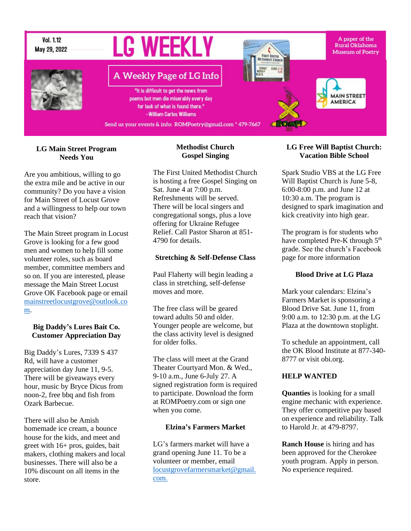

### **LG Main Street Program Needs You**

Are you ambitious, willing to go the extra mile and be active in our community? Do you have a vision for Main Street of Locust Grove and a willingness to help our town reach that vision?

The Main Street program in Locust Grove is looking for a few good men and women to help fill some volunteer roles, such as board member, committee members and so on. If you are interested, please message the Main Street Locust Grove OK Facebook page or email [mainstreetlocustgrove@outlook.co](mailto:mainstreetlocustgrove@outlook.com) [m.](mailto:mainstreetlocustgrove@outlook.com)

### **Big Daddy's Lures Bait Co. Customer Appreciation Day**

Big Daddy's Lures, 7339 S 437 Rd, will have a customer appreciation day June 11, 9-5. There will be giveaways every hour, music by Bryce Dicus from noon-2, free bbq and fish from Ozark Barbecue.

There will also be Amish homemade ice cream, a bounce house for the kids, and meet and greet with 16+ pros, guides, bait makers, clothing makers and local businesses. There will also be a 10% discount on all items in the store.

# **Methodist Church Gospel Singing**

The First United Methodist Church is hosting a free Gospel Singing on Sat. June 4 at 7:00 p.m. Refreshments will be served. There will be local singers and congregational songs, plus a love offering for Ukraine Refugee Relief. Call Pastor Sharon at 851- 4790 for details.

### **Stretching & Self-Defense Class**

Paul Flaherty will begin leading a class in stretching, self-defense moves and more.

The free class will be geared toward adults 50 and older. Younger people are welcome, but the class activity level is designed for older folks.

The class will meet at the Grand Theater Courtyard Mon. & Wed., 9-10 a.m., June 6-July 27. A signed registration form is required to participate. Download the form at ROMPoetry.com or sign one when you come.

## **Elzina's Farmers Market**

LG's farmers market will have a grand opening June 11. To be a volunteer or member, email [locustgrovefarmersmarket@gmail.](mailto:locustgrovefarmersmarket@gmail.com.) [com.](mailto:locustgrovefarmersmarket@gmail.com.)

## **LG Free Will Baptist Church: Vacation Bible School**

Spark Studio VBS at the LG Free Will Baptist Church is June 5-8, 6:00-8:00 p.m. and June 12 at 10:30 a.m. The program is designed to spark imagination and kick creativity into high gear.

The program is for students who have completed Pre-K through 5<sup>th</sup> grade. See the church's Facebook page for more information

## **Blood Drive at LG Plaza**

Mark your calendars: Elzina's Farmers Market is sponsoring a Blood Drive Sat. June 11, from 9:00 a.m. to 12:30 p.m. at the LG Plaza at the downtown stoplight.

To schedule an appointment, call the OK Blood Institute at 877-340- 8777 or visit obi.org.

# **HELP WANTED**

**Quanties** is looking for a small engine mechanic with experience. They offer competitive pay based on experience and reliability. Talk to Harold Jr. at 479-8797.

**Ranch House** is hiring and has been approved for the Cherokee youth program. Apply in person. No experience required.